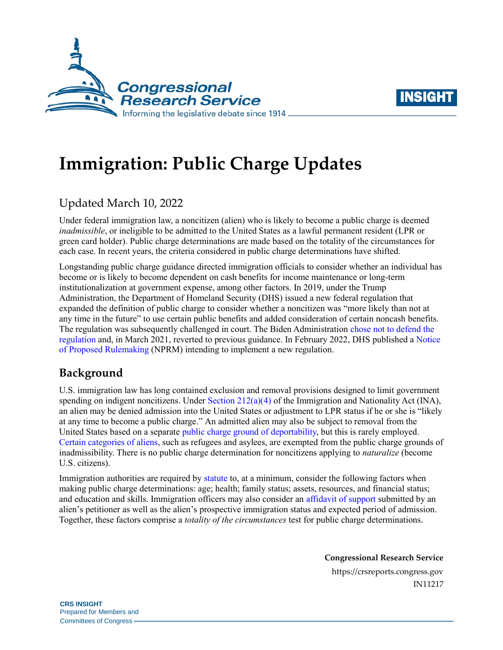



# **Immigration: Public Charge Updates**

## Updated March 10, 2022

Under federal immigration law, a noncitizen (alien) who is likely to become a public charge is deemed *inadmissible*, or ineligible to be admitted to the United States as a lawful permanent resident (LPR or green card holder). Public charge determinations are made based on the totality of the circumstances for each case. In recent years, the criteria considered in public charge determinations have shifted.

Longstanding public charge guidance directed immigration officials to consider whether an individual has become or is likely to become dependent on cash benefits for income maintenance or long-term institutionalization at government expense, among other factors. In 2019, under the Trump Administration, the Department of Homeland Security (DHS) issued a new federal regulation that expanded the definition of public charge to consider whether a noncitizen was "more likely than not at any time in the future" to use certain public benefits and added consideration of certain noncash benefits. The regulation was subsequently challenged in court. The Biden Administration [chose not to defend the](https://rollcall.com/2022/02/23/supreme-court-hears-arguments-over-public-charge-rule/)  [regulation](https://rollcall.com/2022/02/23/supreme-court-hears-arguments-over-public-charge-rule/) and, in March 2021, reverted to previous guidance. In February 2022, DHS published [a Notice](https://www.federalregister.gov/documents/2022/02/24/2022-03788/public-charge-ground-of-inadmissibility)  of [Proposed Rulemaking](https://www.federalregister.gov/documents/2022/02/24/2022-03788/public-charge-ground-of-inadmissibility) (NPRM) intending to implement a new regulation.

## **Background**

U.S. immigration law has long contained exclusion and removal provisions designed to limit government spending on indigent noncitizens. Under Section  $212(a)(4)$  of the Immigration and Nationality Act (INA), an alien may be denied admission into the United States or adjustment to LPR status if he or she is "likely at any time to become a public charge." An admitted alien may also be subject to removal from the United States based on a separat[e public charge ground of deportability,](https://uscode.house.gov/view.xhtml?req=granuleid:USC-prelim-title8-section1227&num=0&edition=prelim) but this is rarely employed. [Certain categories of aliens,](https://www.ecfr.gov/on/2019-10-15/title-8/chapter-I/subchapter-B/part-212/section-212.23) such as refugees and asylees, are exempted from the public charge grounds of inadmissibility. There is no public charge determination for noncitizens applying to *naturalize* (become U.S. citizens).

Immigration authorities are required by [statute](https://uscode.house.gov/view.xhtml?req=granuleid%3AUSC-prelim-title8-section1182&num=0&edition=prelim) to, at a minimum, consider the following factors when making public charge determinations: age; health; family status; assets, resources, and financial status; and education and skills. Immigration officers may also consider an [affidavit of support](https://www.uscis.gov/i-134) submitted by an alien's petitioner as well as the alien's prospective immigration status and expected period of admission. Together, these factors comprise a *totality of the circumstances* test for public charge determinations.

**Congressional Research Service**

https://crsreports.congress.gov IN11217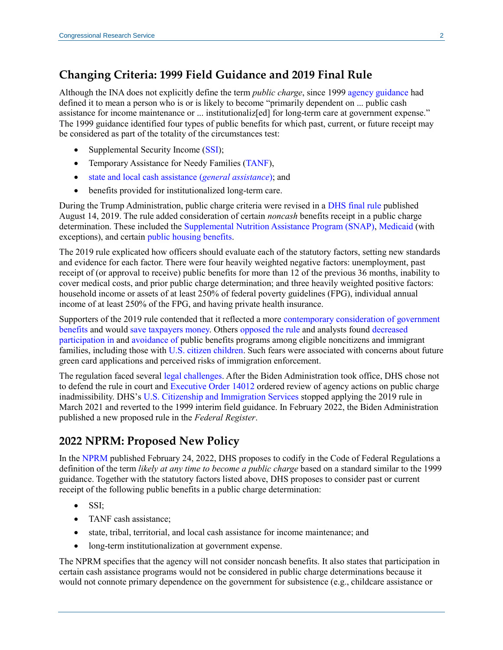### **Changing Criteria: 1999 Field Guidance and 2019 Final Rule**

Although the INA does not explicitly define the term *public charge*, since 1999 [agency guidance](https://www.govinfo.gov/content/pkg/FR-1999-05-26/pdf/99-13202.pdf) had defined it to mean a person who is or is likely to become "primarily dependent on ... public cash assistance for income maintenance or ... institutionaliz[ed] for long-term care at government expense." The 1999 guidance identified four types of public benefits for which past, current, or future receipt may be considered as part of the totality of the circumstances test:

- Supplemental Security Income [\(SSI\)](https://www.ssa.gov/ssi/);
- Temporary Assistance for Needy Families [\(TANF\)](https://www.acf.hhs.gov/ofa/programs/tanf),
- [state and local cash assistance](https://www.ssa.gov/policy/docs/progdesc/sspus/genasist.pdf) (*general assistance*); and
- benefits provided for institutionalized long-term care.

During the Trump Administration, public charge criteria were revised in a [DHS final rule](https://www.federalregister.gov/documents/2019/08/14/2019-17142/inadmissibility-on-public-charge-grounds) published August 14, 2019. The rule added consideration of certain *noncash* benefits receipt in a public charge determination. These included the [Supplemental Nutrition Assistance Program \(SNAP\),](https://www.fns.usda.gov/snap/supplemental-nutrition-assistance-program) [Medicaid](https://www.medicaid.gov/medicaid/index.html) (with exceptions), and certain [public housing benefits.](https://www.hud.gov/topics/rental_assistance)

The 2019 rule explicated how officers should evaluate each of the statutory factors, setting new standards and evidence for each factor. There were four heavily weighted negative factors: unemployment, past receipt of (or approval to receive) public benefits for more than 12 of the previous 36 months, inability to cover medical costs, and prior public charge determination; and three heavily weighted positive factors: household income or assets of at least 250% of federal poverty guidelines (FPG), individual annual income of at least 250% of the FPG, and having private health insurance.

Supporters of the 2019 rule contended that it reflected a more [contemporary consideration of government](https://www.heritage.org/immigration/commentary/enforcing-public-charge-rule-immigration-common-sense)  [benefits](https://www.heritage.org/immigration/commentary/enforcing-public-charge-rule-immigration-common-sense) and would save [taxpayers money.](https://cis.org/Vaughan/Proposed-Public-Charge-Rule-Few-Will-Be-Barred-Billions-Will-Be-Saved) Others [opposed the rule](https://www.nilc.org/issues/economic-support/pubcharge/public-charge-a-new-threat-to-immigrant-families/) and analysts found [decreased](https://www.migrationpolicy.org/news/anticipated-chilling-effects-public-charge-rule-are-real)  [participation in](https://www.migrationpolicy.org/news/anticipated-chilling-effects-public-charge-rule-are-real) and [avoidance of](https://www.urban.org/research/publication/one-five-adults-immigrant-families-children-reported-chilling-effects-public-benefit-receipt-2019) public benefits programs among eligible noncitizens and immigrant families, including those with [U.S. citizen children.](https://frac.org/wp-content/uploads/NILC_Latinx-Immigrant-Families.pdf) Such fears were associated with concerns about future green card applications and perceived risks of immigration enforcement.

The regulation faced several [legal challenges.](https://www.uscis.gov/green-card/green-card-processes-and-procedures/public-charge/inadmissibility-on-public-charge-grounds-final-rule-litigation) After the Biden Administration took office, DHS chose not to defend the rule in court and [Executive Order 14012](https://www.federalregister.gov/documents/2021/02/05/2021-02563/restoring-faith-in-our-legal-immigration-systems-and-strengthening-integration-and-inclusion-efforts) ordered review of agency actions on public charge inadmissibility. DHS's [U.S. Citizenship and Immigration Services](https://www.uscis.gov/public-charge) stopped applying the 2019 rule in March 2021 and reverted to the 1999 interim field guidance. In February 2022, the Biden Administration published a new proposed rule in the *Federal Register*.

#### **2022 NPRM: Proposed New Policy**

In the [NPRM](https://www.federalregister.gov/documents/2022/02/24/2022-03788/public-charge-ground-of-inadmissibility) published February 24, 2022, DHS proposes to codify in the Code of Federal Regulations a definition of the term *likely at any time to become a public charge* based on a standard similar to the 1999 guidance. Together with the statutory factors listed above, DHS proposes to consider past or current receipt of the following public benefits in a public charge determination:

- SSI;
- TANF cash assistance;
- state, tribal, territorial, and local cash assistance for income maintenance; and
- long-term institutionalization at government expense.

The NPRM specifies that the agency will not consider noncash benefits. It also states that participation in certain cash assistance programs would not be considered in public charge determinations because it would not connote primary dependence on the government for subsistence (e.g., childcare assistance or